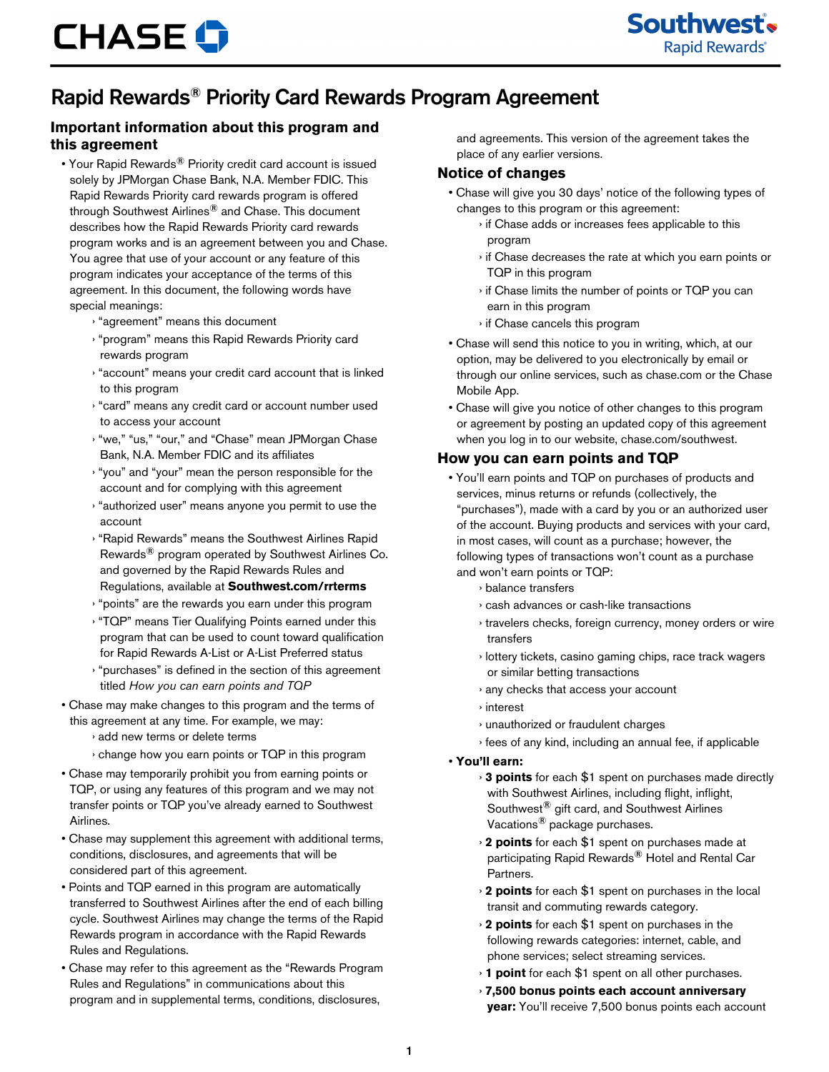## Rapid Rewards® Priority Card Rewards Program Agreement

### **Important information about this program and this agreement**

- Your Rapid Rewards<sup>®</sup> Priority credit card account is issued solely by JPMorgan Chase Bank, N.A. Member FDIC. This Rapid Rewards Priority card rewards program is offered through Southwest Airlines® and Chase. This document describes how the Rapid Rewards Priority card rewards program works and is an agreement between you and Chase. You agree that use of your account or any feature of this program indicates your acceptance of the terms of this agreement. In this document, the following words have special meanings:
	- › "agreement" means this document
	- › "program" means this Rapid Rewards Priority card rewards program
	- › "account" means your credit card account that is linked to this program
	- › "card" means any credit card or account number used to access your account
	- › "we," "us," "our," and "Chase" mean JPMorgan Chase Bank, N.A. Member FDIC and its affiliates
	- › "you" and "your" mean the person responsible for the account and for complying with this agreement
	- › "authorized user" means anyone you permit to use the account
	- › "Rapid Rewards" means the Southwest Airlines Rapid Rewards® program operated by Southwest Airlines Co. and governed by the Rapid Rewards Rules and Regulations, available at **Southwest.com/rrterms**
	- › "points" are the rewards you earn under this program
	- › "TQP" means Tier Qualifying Points earned under this program that can be used to count toward qualification for Rapid Rewards A-List or A-List Preferred status
	- › "purchases" is defined in the section of this agreement titled *How you can earn points and TQP*
- Chase may make changes to this program and the terms of this agreement at any time. For example, we may:
	- › add new terms or delete terms
	- › change how you earn points or TQP in this program
- Chase may temporarily prohibit you from earning points or TQP, or using any features of this program and we may not transfer points or TQP you've already earned to Southwest Airlines.
- Chase may supplement this agreement with additional terms, conditions, disclosures, and agreements that will be considered part of this agreement.
- Points and TQP earned in this program are automatically transferred to Southwest Airlines after the end of each billing cycle. Southwest Airlines may change the terms of the Rapid Rewards program in accordance with the Rapid Rewards Rules and Regulations.
- Chase may refer to this agreement as the "Rewards Program Rules and Regulations" in communications about this program and in supplemental terms, conditions, disclosures,

and agreements. This version of the agreement takes the place of any earlier versions.

#### **Notice of changes**

- Chase will give you 30 days' notice of the following types of changes to this program or this agreement:
	- › if Chase adds or increases fees applicable to this program
	- › if Chase decreases the rate at which you earn points or TQP in this program
	- › if Chase limits the number of points or TQP you can earn in this program
	- › if Chase cancels this program
- Chase will send this notice to you in writing, which, at our option, may be delivered to you electronically by email or through our online services, such as chase.com or the Chase Mobile App.
- Chase will give you notice of other changes to this program or agreement by posting an updated copy of this agreement when you log in to our website, chase.com/southwest.

### **How you can earn points and TQP**

- You'll earn points and TQP on purchases of products and services, minus returns or refunds (collectively, the "purchases"), made with a card by you or an authorized user of the account. Buying products and services with your card, in most cases, will count as a purchase; however, the following types of transactions won't count as a purchase and won't earn points or TQP:
	- › balance transfers
	- › cash advances or cash-like transactions
	- › travelers checks, foreign currency, money orders or wire transfers
	- › lottery tickets, casino gaming chips, race track wagers or similar betting transactions
	- › any checks that access your account
	- › interest
	- › unauthorized or fraudulent charges
	- › fees of any kind, including an annual fee, if applicable
- **You'll earn:**
	- › **3 points** for each \$1 spent on purchases made directly with Southwest Airlines, including flight, inflight, Southwest® gift card, and Southwest Airlines Vacations® package purchases.
	- › **2 points** for each \$1 spent on purchases made at participating Rapid Rewards® Hotel and Rental Car Partners.
	- › **2 points** for each \$1 spent on purchases in the local transit and commuting rewards category.
	- › **2 points** for each \$1 spent on purchases in the following rewards categories: internet, cable, and phone services; select streaming services.
	- › **1 point** for each \$1 spent on all other purchases.
	- › **7,500 bonus points each account anniversary year:** You'll receive 7,500 bonus points each account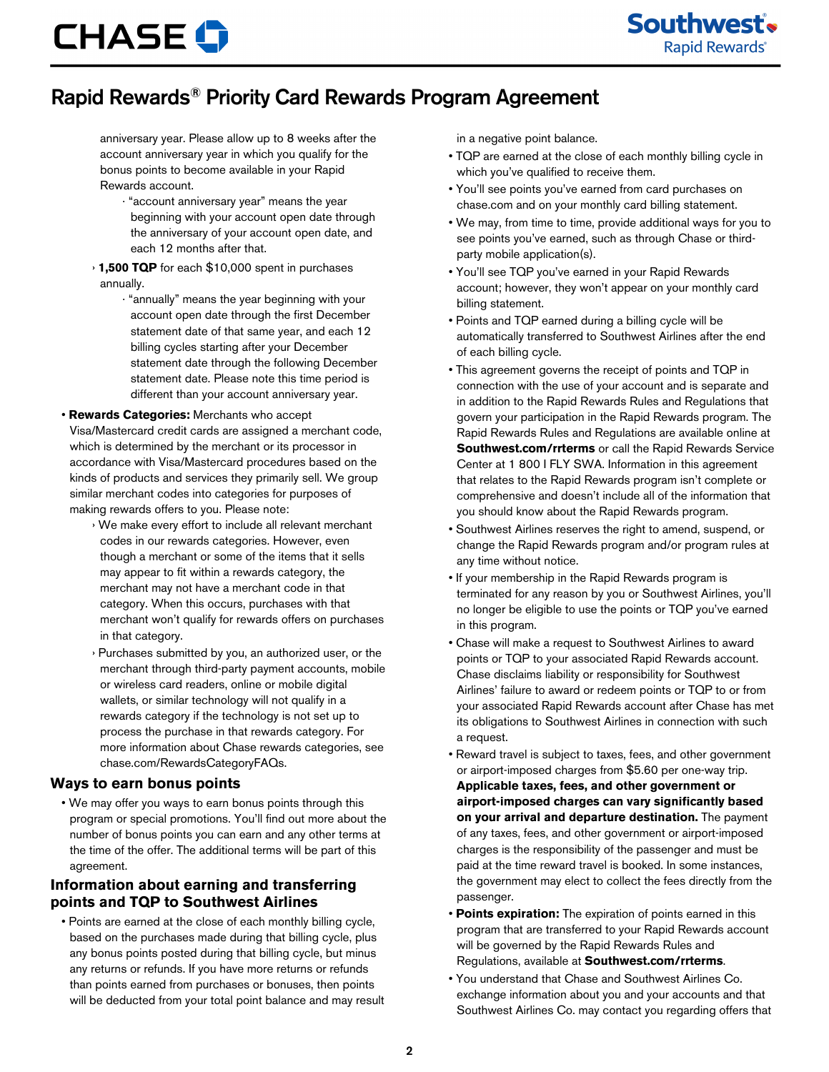# **CHASE O**

Southwest's **Rapid Rewards**®

## Rapid Rewards® Priority Card Rewards Program Agreement

anniversary year. Please allow up to 8 weeks after the account anniversary year in which you qualify for the bonus points to become available in your Rapid Rewards account.

- · "account anniversary year" means the year beginning with your account open date through the anniversary of your account open date, and each 12 months after that.
- › **1,500 TQP** for each \$10,000 spent in purchases annually.
	- · "annually" means the year beginning with your account open date through the first December statement date of that same year, and each 12 billing cycles starting after your December statement date through the following December statement date. Please note this time period is different than your account anniversary year.

#### • **Rewards Categories:** Merchants who accept

Visa/Mastercard credit cards are assigned a merchant code, which is determined by the merchant or its processor in accordance with Visa/Mastercard procedures based on the kinds of products and services they primarily sell. We group similar merchant codes into categories for purposes of making rewards offers to you. Please note:

- › We make every effort to include all relevant merchant codes in our rewards categories. However, even though a merchant or some of the items that it sells may appear to fit within a rewards category, the merchant may not have a merchant code in that category. When this occurs, purchases with that merchant won't qualify for rewards offers on purchases in that category.
- › Purchases submitted by you, an authorized user, or the merchant through third-party payment accounts, mobile or wireless card readers, online or mobile digital wallets, or similar technology will not qualify in a rewards category if the technology is not set up to process the purchase in that rewards category. For more information about Chase rewards categories, see chase.com/RewardsCategoryFAQs.

#### **Ways to earn bonus points**

• We may offer you ways to earn bonus points through this program or special promotions. You'll find out more about the number of bonus points you can earn and any other terms at the time of the offer. The additional terms will be part of this agreement.

### **Information about earning and transferring points and TQP to Southwest Airlines**

• Points are earned at the close of each monthly billing cycle, based on the purchases made during that billing cycle, plus any bonus points posted during that billing cycle, but minus any returns or refunds. If you have more returns or refunds than points earned from purchases or bonuses, then points will be deducted from your total point balance and may result in a negative point balance.

- TQP are earned at the close of each monthly billing cycle in which you've qualified to receive them.
- You'll see points you've earned from card purchases on chase.com and on your monthly card billing statement.
- We may, from time to time, provide additional ways for you to see points you've earned, such as through Chase or thirdparty mobile application(s).
- You'll see TQP you've earned in your Rapid Rewards account; however, they won't appear on your monthly card billing statement.
- Points and TQP earned during a billing cycle will be automatically transferred to Southwest Airlines after the end of each billing cycle.
- This agreement governs the receipt of points and TQP in connection with the use of your account and is separate and in addition to the Rapid Rewards Rules and Regulations that govern your participation in the Rapid Rewards program. The Rapid Rewards Rules and Regulations are available online at **Southwest.com/rrterms** or call the Rapid Rewards Service Center at 1 800 I FLY SWA. Information in this agreement that relates to the Rapid Rewards program isn't complete or comprehensive and doesn't include all of the information that you should know about the Rapid Rewards program.
- Southwest Airlines reserves the right to amend, suspend, or change the Rapid Rewards program and/or program rules at any time without notice.
- If your membership in the Rapid Rewards program is terminated for any reason by you or Southwest Airlines, you'll no longer be eligible to use the points or TQP you've earned in this program.
- Chase will make a request to Southwest Airlines to award points or TQP to your associated Rapid Rewards account. Chase disclaims liability or responsibility for Southwest Airlines' failure to award or redeem points or TQP to or from your associated Rapid Rewards account after Chase has met its obligations to Southwest Airlines in connection with such a request.
- Reward travel is subject to taxes, fees, and other government or airport-imposed charges from \$5.60 per one-way trip. **Applicable taxes, fees, and other government or airport-imposed charges can vary significantly based on your arrival and departure destination.** The payment of any taxes, fees, and other government or airport-imposed charges is the responsibility of the passenger and must be paid at the time reward travel is booked. In some instances, the government may elect to collect the fees directly from the passenger.
- **Points expiration:** The expiration of points earned in this program that are transferred to your Rapid Rewards account will be governed by the Rapid Rewards Rules and Regulations, available at **Southwest.com/rrterms**.
- You understand that Chase and Southwest Airlines Co. exchange information about you and your accounts and that Southwest Airlines Co. may contact you regarding offers that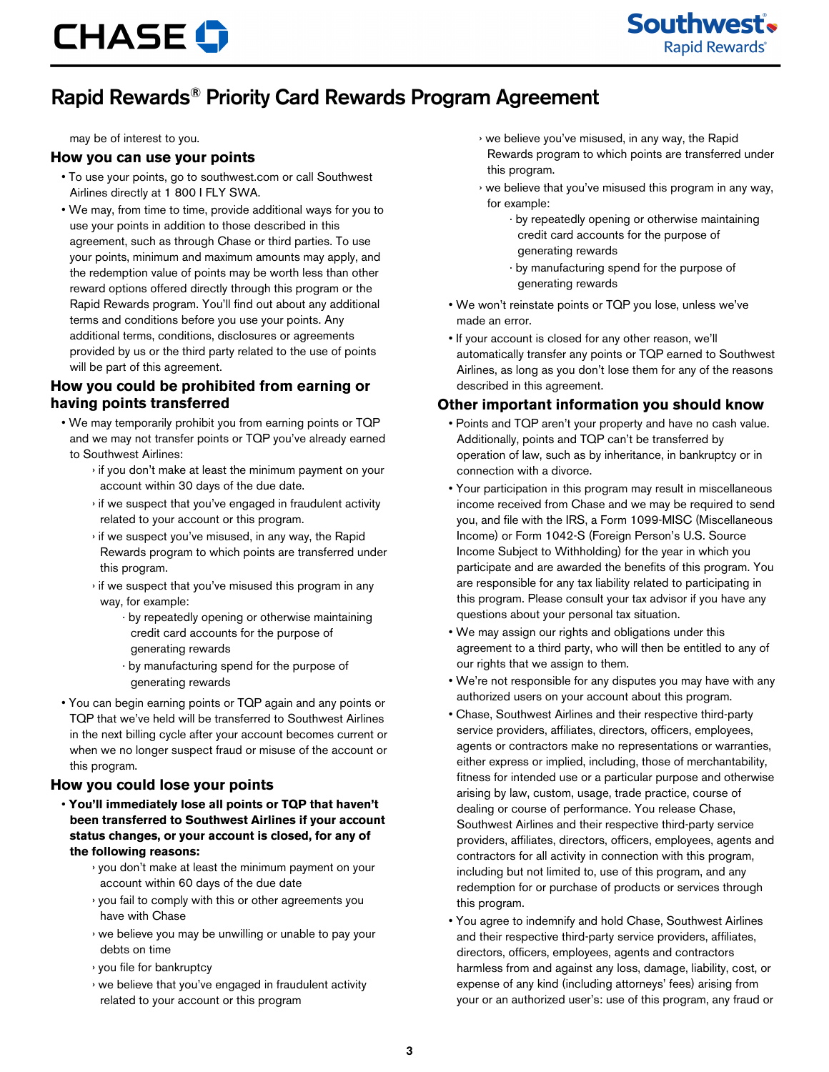# Rapid Rewards® Priority Card Rewards Program Agreement

may be of interest to you.

#### **How you can use your points**

- To use your points, go to southwest.com or call Southwest Airlines directly at 1 800 I FLY SWA.
- We may, from time to time, provide additional ways for you to use your points in addition to those described in this agreement, such as through Chase or third parties. To use your points, minimum and maximum amounts may apply, and the redemption value of points may be worth less than other reward options offered directly through this program or the Rapid Rewards program. You'll find out about any additional terms and conditions before you use your points. Any additional terms, conditions, disclosures or agreements provided by us or the third party related to the use of points will be part of this agreement.

### **How you could be prohibited from earning or having points transferred**

- We may temporarily prohibit you from earning points or TQP and we may not transfer points or TQP you've already earned to Southwest Airlines:
	- › if you don't make at least the minimum payment on your account within 30 days of the due date.
	- › if we suspect that you've engaged in fraudulent activity related to your account or this program.
	- › if we suspect you've misused, in any way, the Rapid Rewards program to which points are transferred under this program.
	- › if we suspect that you've misused this program in any way, for example:
		- · by repeatedly opening or otherwise maintaining credit card accounts for the purpose of generating rewards
		- · by manufacturing spend for the purpose of generating rewards
- You can begin earning points or TQP again and any points or TQP that we've held will be transferred to Southwest Airlines in the next billing cycle after your account becomes current or when we no longer suspect fraud or misuse of the account or this program.

### **How you could lose your points**

- **You'll immediately lose all points or TQP that haven't been transferred to Southwest Airlines if your account status changes, or your account is closed, for any of the following reasons:**
	- › you don't make at least the minimum payment on your account within 60 days of the due date
	- › you fail to comply with this or other agreements you have with Chase
	- › we believe you may be unwilling or unable to pay your debts on time
	- › you file for bankruptcy
	- › we believe that you've engaged in fraudulent activity related to your account or this program
- › we believe you've misused, in any way, the Rapid Rewards program to which points are transferred under this program.
- › we believe that you've misused this program in any way, for example:
	- · by repeatedly opening or otherwise maintaining credit card accounts for the purpose of generating rewards
	- · by manufacturing spend for the purpose of generating rewards
- We won't reinstate points or TQP you lose, unless we've made an error.
- If your account is closed for any other reason, we'll automatically transfer any points or TQP earned to Southwest Airlines, as long as you don't lose them for any of the reasons described in this agreement.

### **Other important information you should know**

- Points and TQP aren't your property and have no cash value. Additionally, points and TQP can't be transferred by operation of law, such as by inheritance, in bankruptcy or in connection with a divorce.
- Your participation in this program may result in miscellaneous income received from Chase and we may be required to send you, and file with the IRS, a Form 1099-MISC (Miscellaneous Income) or Form 1042-S (Foreign Person's U.S. Source Income Subject to Withholding) for the year in which you participate and are awarded the benefits of this program. You are responsible for any tax liability related to participating in this program. Please consult your tax advisor if you have any questions about your personal tax situation.
- We may assign our rights and obligations under this agreement to a third party, who will then be entitled to any of our rights that we assign to them.
- We're not responsible for any disputes you may have with any authorized users on your account about this program.
- Chase, Southwest Airlines and their respective third-party service providers, affiliates, directors, officers, employees, agents or contractors make no representations or warranties, either express or implied, including, those of merchantability, fitness for intended use or a particular purpose and otherwise arising by law, custom, usage, trade practice, course of dealing or course of performance. You release Chase, Southwest Airlines and their respective third-party service providers, affiliates, directors, officers, employees, agents and contractors for all activity in connection with this program, including but not limited to, use of this program, and any redemption for or purchase of products or services through this program.
- You agree to indemnify and hold Chase, Southwest Airlines and their respective third-party service providers, affiliates, directors, officers, employees, agents and contractors harmless from and against any loss, damage, liability, cost, or expense of any kind (including attorneys' fees) arising from your or an authorized user's: use of this program, any fraud or